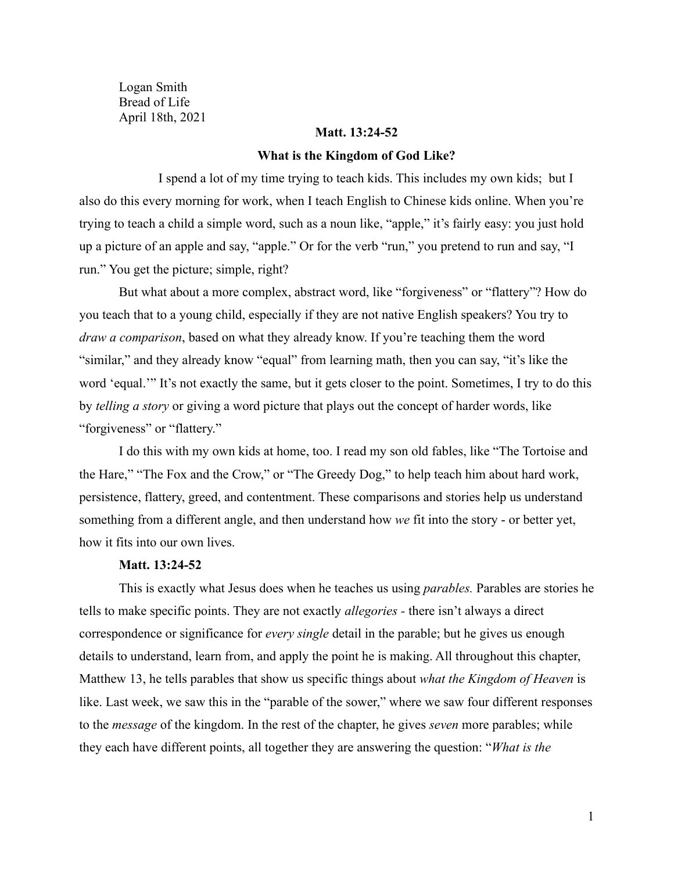Logan Smith Bread of Life April 18th, 2021

### **Matt. 13:24-52**

#### **What is the Kingdom of God Like?**

I spend a lot of my time trying to teach kids. This includes my own kids; but I also do this every morning for work, when I teach English to Chinese kids online. When you're trying to teach a child a simple word, such as a noun like, "apple," it's fairly easy: you just hold up a picture of an apple and say, "apple." Or for the verb "run," you pretend to run and say, "I run." You get the picture; simple, right?

But what about a more complex, abstract word, like "forgiveness" or "flattery"? How do you teach that to a young child, especially if they are not native English speakers? You try to *draw a comparison*, based on what they already know. If you're teaching them the word "similar," and they already know "equal" from learning math, then you can say, "it's like the word 'equal.'" It's not exactly the same, but it gets closer to the point. Sometimes, I try to do this by *telling a story* or giving a word picture that plays out the concept of harder words, like "forgiveness" or "flattery."

I do this with my own kids at home, too. I read my son old fables, like "The Tortoise and the Hare," "The Fox and the Crow," or "The Greedy Dog," to help teach him about hard work, persistence, flattery, greed, and contentment. These comparisons and stories help us understand something from a different angle, and then understand how *we* fit into the story - or better yet, how it fits into our own lives.

### **Matt. 13:24-52**

This is exactly what Jesus does when he teaches us using *parables.* Parables are stories he tells to make specific points. They are not exactly *allegories -* there isn't always a direct correspondence or significance for *every single* detail in the parable; but he gives us enough details to understand, learn from, and apply the point he is making. All throughout this chapter, Matthew 13, he tells parables that show us specific things about *what the Kingdom of Heaven* is like. Last week, we saw this in the "parable of the sower," where we saw four different responses to the *message* of the kingdom. In the rest of the chapter, he gives *seven* more parables; while they each have different points, all together they are answering the question: "*What is the*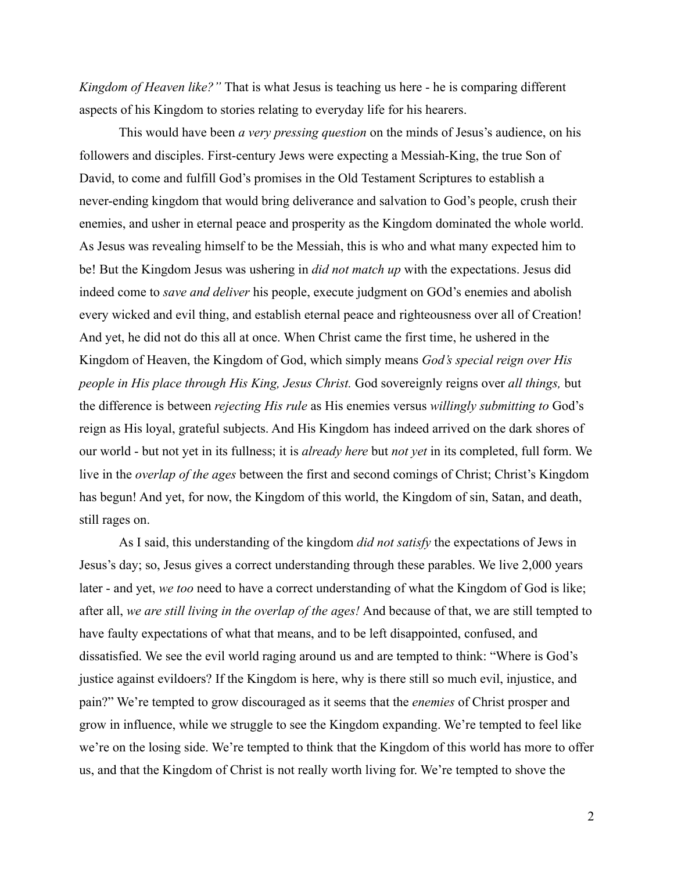*Kingdom of Heaven like?"* That is what Jesus is teaching us here - he is comparing different aspects of his Kingdom to stories relating to everyday life for his hearers.

This would have been *a very pressing question* on the minds of Jesus's audience, on his followers and disciples. First-century Jews were expecting a Messiah-King, the true Son of David, to come and fulfill God's promises in the Old Testament Scriptures to establish a never-ending kingdom that would bring deliverance and salvation to God's people, crush their enemies, and usher in eternal peace and prosperity as the Kingdom dominated the whole world. As Jesus was revealing himself to be the Messiah, this is who and what many expected him to be! But the Kingdom Jesus was ushering in *did not match up* with the expectations. Jesus did indeed come to *save and deliver* his people, execute judgment on GOd's enemies and abolish every wicked and evil thing, and establish eternal peace and righteousness over all of Creation! And yet, he did not do this all at once. When Christ came the first time, he ushered in the Kingdom of Heaven, the Kingdom of God, which simply means *God's special reign over His people in His place through His King, Jesus Christ.* God sovereignly reigns over *all things,* but the difference is between *rejecting His rule* as His enemies versus *willingly submitting to* God's reign as His loyal, grateful subjects. And His Kingdom has indeed arrived on the dark shores of our world - but not yet in its fullness; it is *already here* but *not yet* in its completed, full form. We live in the *overlap of the ages* between the first and second comings of Christ; Christ's Kingdom has begun! And yet, for now, the Kingdom of this world, the Kingdom of sin, Satan, and death, still rages on.

As I said, this understanding of the kingdom *did not satisfy* the expectations of Jews in Jesus's day; so, Jesus gives a correct understanding through these parables. We live 2,000 years later - and yet, *we too* need to have a correct understanding of what the Kingdom of God is like; after all, *we are still living in the overlap of the ages!* And because of that, we are still tempted to have faulty expectations of what that means, and to be left disappointed, confused, and dissatisfied. We see the evil world raging around us and are tempted to think: "Where is God's justice against evildoers? If the Kingdom is here, why is there still so much evil, injustice, and pain?" We're tempted to grow discouraged as it seems that the *enemies* of Christ prosper and grow in influence, while we struggle to see the Kingdom expanding. We're tempted to feel like we're on the losing side. We're tempted to think that the Kingdom of this world has more to offer us, and that the Kingdom of Christ is not really worth living for. We're tempted to shove the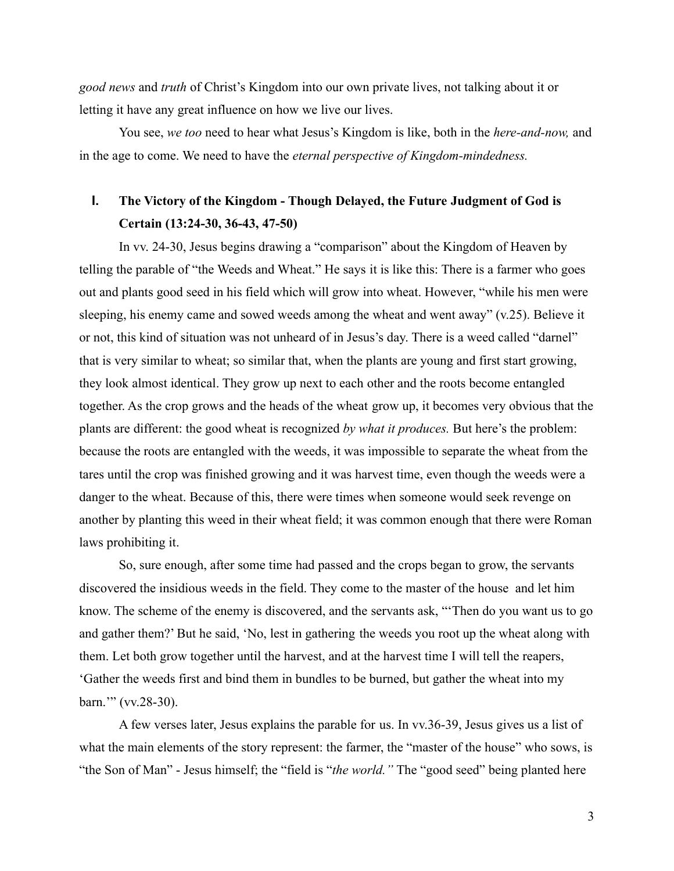*good news* and *truth* of Christ's Kingdom into our own private lives, not talking about it or letting it have any great influence on how we live our lives.

You see, *we too* need to hear what Jesus's Kingdom is like, both in the *here-and-now,* and in the age to come. We need to have the *eternal perspective of Kingdom-mindedness.*

# **I. The Victory of the Kingdom - Though Delayed, the Future Judgment of God is Certain (13:24-30, 36-43, 47-50)**

In vv. 24-30, Jesus begins drawing a "comparison" about the Kingdom of Heaven by telling the parable of "the Weeds and Wheat." He says it is like this: There is a farmer who goes out and plants good seed in his field which will grow into wheat. However, "while his men were sleeping, his enemy came and sowed weeds among the wheat and went away" (v.25). Believe it or not, this kind of situation was not unheard of in Jesus's day. There is a weed called "darnel" that is very similar to wheat; so similar that, when the plants are young and first start growing, they look almost identical. They grow up next to each other and the roots become entangled together. As the crop grows and the heads of the wheat grow up, it becomes very obvious that the plants are different: the good wheat is recognized *by what it produces.* But here's the problem: because the roots are entangled with the weeds, it was impossible to separate the wheat from the tares until the crop was finished growing and it was harvest time, even though the weeds were a danger to the wheat. Because of this, there were times when someone would seek revenge on another by planting this weed in their wheat field; it was common enough that there were Roman laws prohibiting it.

So, sure enough, after some time had passed and the crops began to grow, the servants discovered the insidious weeds in the field. They come to the master of the house and let him know. The scheme of the enemy is discovered, and the servants ask, "'Then do you want us to go and gather them?' But he said, 'No, lest in gathering the weeds you root up the wheat along with them. Let both grow together until the harvest, and at the harvest time I will tell the reapers, 'Gather the weeds first and bind them in bundles to be burned, but gather the wheat into my barn.'" (vv.28-30).

A few verses later, Jesus explains the parable for us. In vv.36-39, Jesus gives us a list of what the main elements of the story represent: the farmer, the "master of the house" who sows, is "the Son of Man" - Jesus himself; the "field is "*the world."* The "good seed" being planted here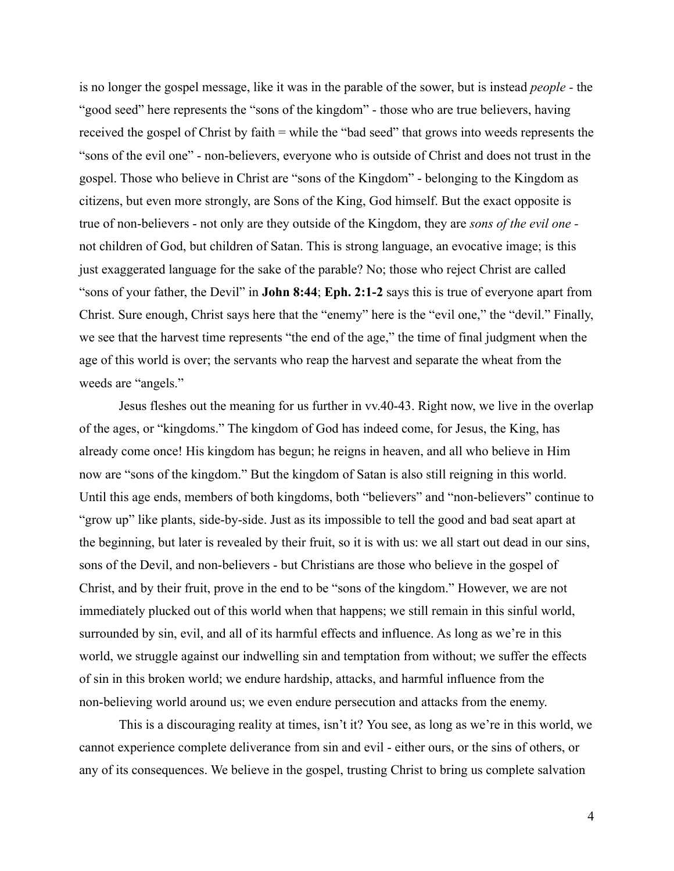is no longer the gospel message, like it was in the parable of the sower, but is instead *people -* the "good seed" here represents the "sons of the kingdom" - those who are true believers, having received the gospel of Christ by faith = while the "bad seed" that grows into weeds represents the "sons of the evil one" - non-believers, everyone who is outside of Christ and does not trust in the gospel. Those who believe in Christ are "sons of the Kingdom" - belonging to the Kingdom as citizens, but even more strongly, are Sons of the King, God himself. But the exact opposite is true of non-believers - not only are they outside of the Kingdom, they are *sons of the evil one*  not children of God, but children of Satan. This is strong language, an evocative image; is this just exaggerated language for the sake of the parable? No; those who reject Christ are called "sons of your father, the Devil" in **John 8:44**; **Eph. 2:1-2** says this is true of everyone apart from Christ. Sure enough, Christ says here that the "enemy" here is the "evil one," the "devil." Finally, we see that the harvest time represents "the end of the age," the time of final judgment when the age of this world is over; the servants who reap the harvest and separate the wheat from the weeds are "angels."

Jesus fleshes out the meaning for us further in vv.40-43. Right now, we live in the overlap of the ages, or "kingdoms." The kingdom of God has indeed come, for Jesus, the King, has already come once! His kingdom has begun; he reigns in heaven, and all who believe in Him now are "sons of the kingdom." But the kingdom of Satan is also still reigning in this world. Until this age ends, members of both kingdoms, both "believers" and "non-believers" continue to "grow up" like plants, side-by-side. Just as its impossible to tell the good and bad seat apart at the beginning, but later is revealed by their fruit, so it is with us: we all start out dead in our sins, sons of the Devil, and non-believers - but Christians are those who believe in the gospel of Christ, and by their fruit, prove in the end to be "sons of the kingdom." However, we are not immediately plucked out of this world when that happens; we still remain in this sinful world, surrounded by sin, evil, and all of its harmful effects and influence. As long as we're in this world, we struggle against our indwelling sin and temptation from without; we suffer the effects of sin in this broken world; we endure hardship, attacks, and harmful influence from the non-believing world around us; we even endure persecution and attacks from the enemy.

This is a discouraging reality at times, isn't it? You see, as long as we're in this world, we cannot experience complete deliverance from sin and evil - either ours, or the sins of others, or any of its consequences. We believe in the gospel, trusting Christ to bring us complete salvation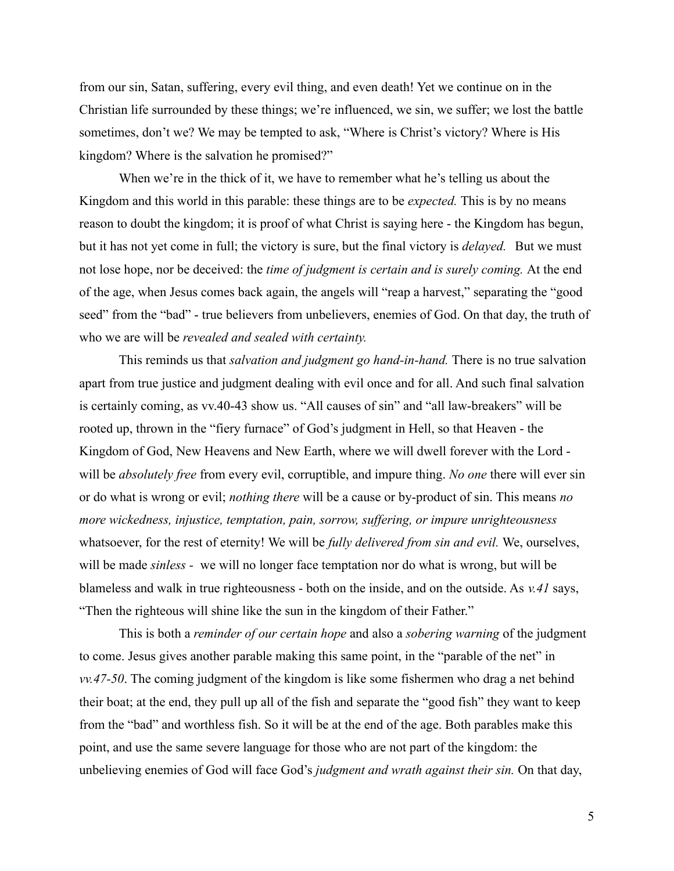from our sin, Satan, suffering, every evil thing, and even death! Yet we continue on in the Christian life surrounded by these things; we're influenced, we sin, we suffer; we lost the battle sometimes, don't we? We may be tempted to ask, "Where is Christ's victory? Where is His kingdom? Where is the salvation he promised?"

When we're in the thick of it, we have to remember what he's telling us about the Kingdom and this world in this parable: these things are to be *expected.* This is by no means reason to doubt the kingdom; it is proof of what Christ is saying here - the Kingdom has begun, but it has not yet come in full; the victory is sure, but the final victory is *delayed.* But we must not lose hope, nor be deceived: the *time of judgment is certain and is surely coming.* At the end of the age, when Jesus comes back again, the angels will "reap a harvest," separating the "good seed" from the "bad" - true believers from unbelievers, enemies of God. On that day, the truth of who we are will be *revealed and sealed with certainty.*

This reminds us that *salvation and judgment go hand-in-hand.* There is no true salvation apart from true justice and judgment dealing with evil once and for all. And such final salvation is certainly coming, as vv.40-43 show us. "All causes of sin" and "all law-breakers" will be rooted up, thrown in the "fiery furnace" of God's judgment in Hell, so that Heaven - the Kingdom of God, New Heavens and New Earth, where we will dwell forever with the Lord will be *absolutely free* from every evil, corruptible, and impure thing. *No one* there will ever sin or do what is wrong or evil; *nothing there* will be a cause or by-product of sin. This means *no more wickedness, injustice, temptation, pain, sorrow, suffering, or impure unrighteousness* whatsoever, for the rest of eternity! We will be *fully delivered from sin and evil.* We, ourselves, will be made *sinless -* we will no longer face temptation nor do what is wrong, but will be blameless and walk in true righteousness - both on the inside, and on the outside. As *v.41* says, "Then the righteous will shine like the sun in the kingdom of their Father."

This is both a *reminder of our certain hope* and also a *sobering warning* of the judgment to come. Jesus gives another parable making this same point, in the "parable of the net" in *vv.47-50*. The coming judgment of the kingdom is like some fishermen who drag a net behind their boat; at the end, they pull up all of the fish and separate the "good fish" they want to keep from the "bad" and worthless fish. So it will be at the end of the age. Both parables make this point, and use the same severe language for those who are not part of the kingdom: the unbelieving enemies of God will face God's *judgment and wrath against their sin.* On that day,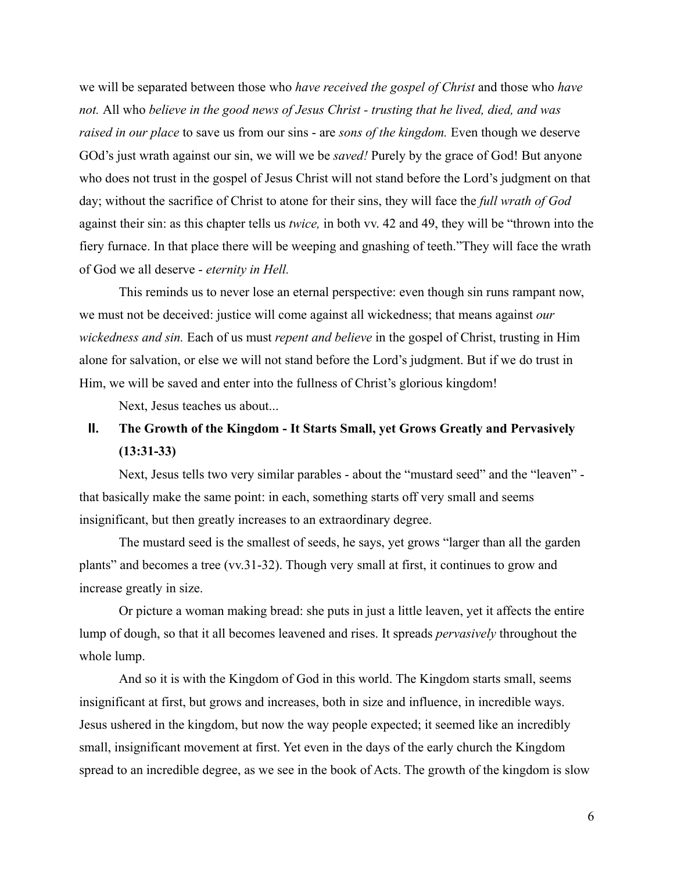we will be separated between those who *have received the gospel of Christ* and those who *have not.* All who *believe in the good news of Jesus Christ - trusting that he lived, died, and was raised in our place* to save us from our sins - are *sons of the kingdom.* Even though we deserve GOd's just wrath against our sin, we will we be *saved!* Purely by the grace of God! But anyone who does not trust in the gospel of Jesus Christ will not stand before the Lord's judgment on that day; without the sacrifice of Christ to atone for their sins, they will face the *full wrath of God* against their sin: as this chapter tells us *twice,* in both vv. 42 and 49, they will be "thrown into the fiery furnace. In that place there will be weeping and gnashing of teeth."They will face the wrath of God we all deserve - *eternity in Hell.*

This reminds us to never lose an eternal perspective: even though sin runs rampant now, we must not be deceived: justice will come against all wickedness; that means against *our wickedness and sin.* Each of us must *repent and believe* in the gospel of Christ, trusting in Him alone for salvation, or else we will not stand before the Lord's judgment. But if we do trust in Him, we will be saved and enter into the fullness of Christ's glorious kingdom!

Next, Jesus teaches us about...

## **II. The Growth of the Kingdom - It Starts Small, yet Grows Greatly and Pervasively (13:31-33)**

Next, Jesus tells two very similar parables - about the "mustard seed" and the "leaven" that basically make the same point: in each, something starts off very small and seems insignificant, but then greatly increases to an extraordinary degree.

The mustard seed is the smallest of seeds, he says, yet grows "larger than all the garden plants" and becomes a tree (vv.31-32). Though very small at first, it continues to grow and increase greatly in size.

Or picture a woman making bread: she puts in just a little leaven, yet it affects the entire lump of dough, so that it all becomes leavened and rises. It spreads *pervasively* throughout the whole lump.

And so it is with the Kingdom of God in this world. The Kingdom starts small, seems insignificant at first, but grows and increases, both in size and influence, in incredible ways. Jesus ushered in the kingdom, but now the way people expected; it seemed like an incredibly small, insignificant movement at first. Yet even in the days of the early church the Kingdom spread to an incredible degree, as we see in the book of Acts. The growth of the kingdom is slow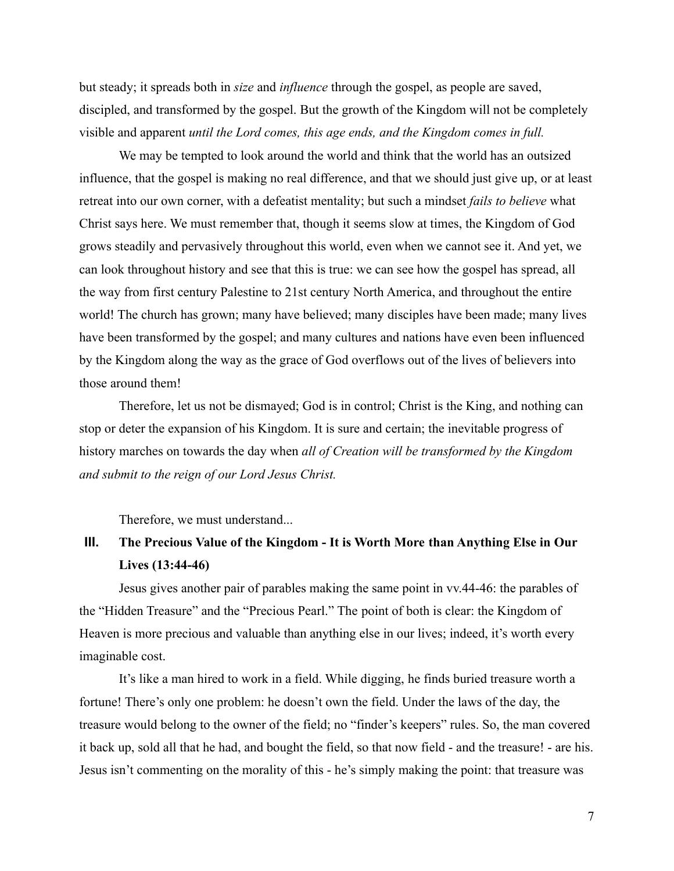but steady; it spreads both in *size* and *influence* through the gospel, as people are saved, discipled, and transformed by the gospel. But the growth of the Kingdom will not be completely visible and apparent *until the Lord comes, this age ends, and the Kingdom comes in full.*

We may be tempted to look around the world and think that the world has an outsized influence, that the gospel is making no real difference, and that we should just give up, or at least retreat into our own corner, with a defeatist mentality; but such a mindset *fails to believe* what Christ says here. We must remember that, though it seems slow at times, the Kingdom of God grows steadily and pervasively throughout this world, even when we cannot see it. And yet, we can look throughout history and see that this is true: we can see how the gospel has spread, all the way from first century Palestine to 21st century North America, and throughout the entire world! The church has grown; many have believed; many disciples have been made; many lives have been transformed by the gospel; and many cultures and nations have even been influenced by the Kingdom along the way as the grace of God overflows out of the lives of believers into those around them!

Therefore, let us not be dismayed; God is in control; Christ is the King, and nothing can stop or deter the expansion of his Kingdom. It is sure and certain; the inevitable progress of history marches on towards the day when *all of Creation will be transformed by the Kingdom and submit to the reign of our Lord Jesus Christ.*

Therefore, we must understand...

## **III. The Precious Value of the Kingdom - It is Worth More than Anything Else in Our Lives (13:44-46)**

Jesus gives another pair of parables making the same point in vv.44-46: the parables of the "Hidden Treasure" and the "Precious Pearl." The point of both is clear: the Kingdom of Heaven is more precious and valuable than anything else in our lives; indeed, it's worth every imaginable cost.

It's like a man hired to work in a field. While digging, he finds buried treasure worth a fortune! There's only one problem: he doesn't own the field. Under the laws of the day, the treasure would belong to the owner of the field; no "finder's keepers" rules. So, the man covered it back up, sold all that he had, and bought the field, so that now field - and the treasure! - are his. Jesus isn't commenting on the morality of this - he's simply making the point: that treasure was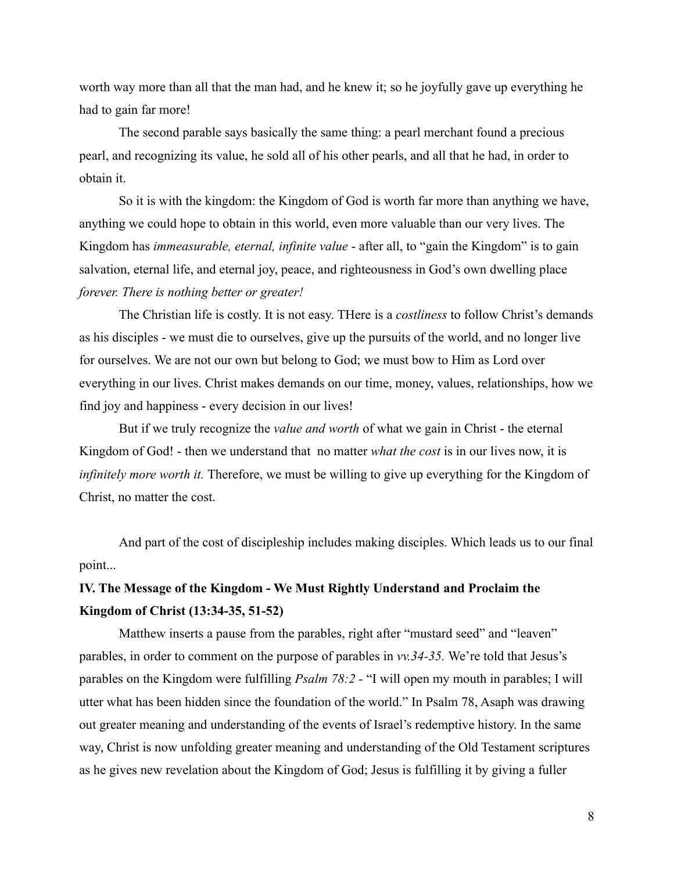worth way more than all that the man had, and he knew it; so he joyfully gave up everything he had to gain far more!

The second parable says basically the same thing: a pearl merchant found a precious pearl, and recognizing its value, he sold all of his other pearls, and all that he had, in order to obtain it.

So it is with the kingdom: the Kingdom of God is worth far more than anything we have, anything we could hope to obtain in this world, even more valuable than our very lives. The Kingdom has *immeasurable, eternal, infinite value* - after all, to "gain the Kingdom" is to gain salvation, eternal life, and eternal joy, peace, and righteousness in God's own dwelling place *forever. There is nothing better or greater!*

The Christian life is costly. It is not easy. THere is a *costliness* to follow Christ's demands as his disciples - we must die to ourselves, give up the pursuits of the world, and no longer live for ourselves. We are not our own but belong to God; we must bow to Him as Lord over everything in our lives. Christ makes demands on our time, money, values, relationships, how we find joy and happiness - every decision in our lives!

But if we truly recognize the *value and worth* of what we gain in Christ - the eternal Kingdom of God! - then we understand that no matter *what the cost* is in our lives now, it is *infinitely more worth it.* Therefore, we must be willing to give up everything for the Kingdom of Christ, no matter the cost.

And part of the cost of discipleship includes making disciples. Which leads us to our final point...

## **IV. The Message of the Kingdom - We Must Rightly Understand and Proclaim the Kingdom of Christ (13:34-35, 51-52)**

Matthew inserts a pause from the parables, right after "mustard seed" and "leaven" parables, in order to comment on the purpose of parables in *vv.34-35.* We're told that Jesus's parables on the Kingdom were fulfilling *Psalm 78:2 -* "I will open my mouth in parables; I will utter what has been hidden since the foundation of the world." In Psalm 78, Asaph was drawing out greater meaning and understanding of the events of Israel's redemptive history. In the same way, Christ is now unfolding greater meaning and understanding of the Old Testament scriptures as he gives new revelation about the Kingdom of God; Jesus is fulfilling it by giving a fuller